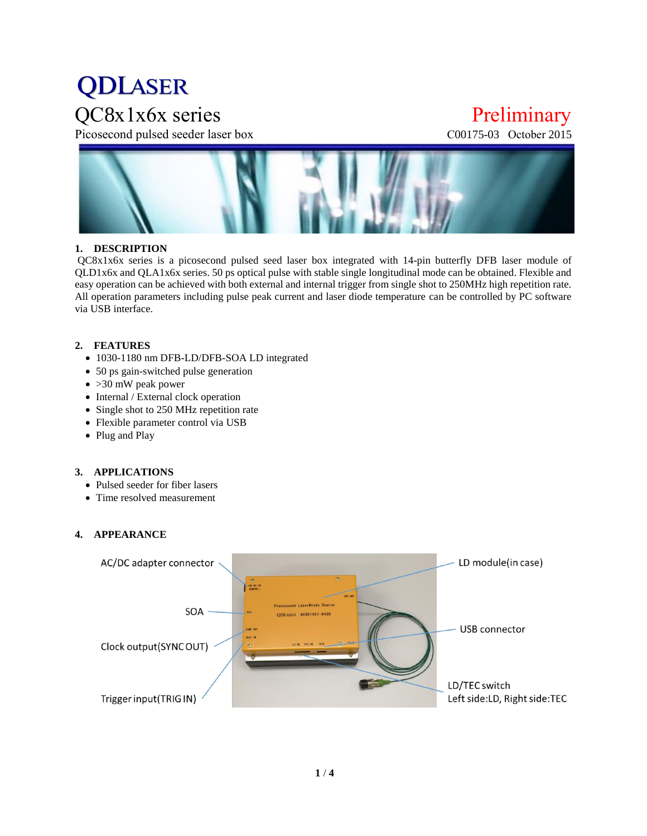# **QDLASER**

### QC8x1x6x series Preliminary

Picosecond pulsed seeder laser box C00175-03 October 2015



#### **1. DESCRIPTION**

QC8x1x6x series is a picosecond pulsed seed laser box integrated with 14-pin butterfly DFB laser module of QLD1x6x and QLA1x6x series. 50 ps optical pulse with stable single longitudinal mode can be obtained. Flexible and easy operation can be achieved with both external and internal trigger from single shot to 250MHz high repetition rate. All operation parameters including pulse peak current and laser diode temperature can be controlled by PC software via USB interface.

### **2. FEATURES**

- 1030-1180 nm DFB-LD/DFB-SOA LD integrated
- 50 ps gain-switched pulse generation
- $\bullet$  >30 mW peak power
- Internal / External clock operation
- Single shot to 250 MHz repetition rate
- Flexible parameter control via USB
- Plug and Play

#### **3. APPLICATIONS**

- Pulsed seeder for fiber lasers
- Time resolved measurement

#### **4. APPEARANCE**

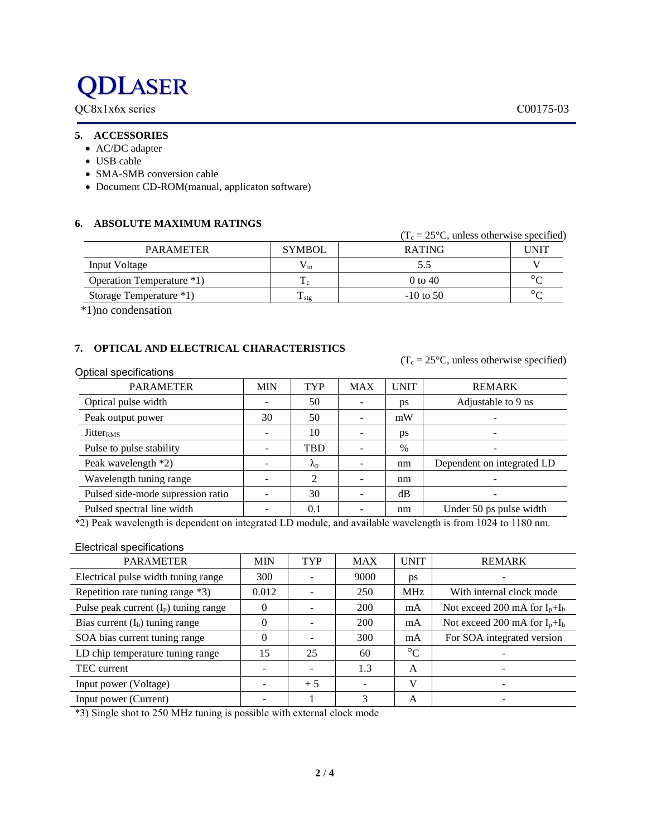## **QDLASER**

QC8x1x6x series C00175-03

#### **5. ACCESSORIES**

- AC/DC adapter
- USB cable
- SMA-SMB conversion cable
- Document CD-ROM(manual, applicaton software)

#### **6. ABSOLUTE MAXIMUM RATINGS**

|                           |                  | $(T_c = 25^{\circ}C$ , unless otherwise specified) |             |
|---------------------------|------------------|----------------------------------------------------|-------------|
| <b>PARAMETER</b>          | <b>SYMBOL</b>    | <b>RATING</b>                                      | <b>UNIT</b> |
| Input Voltage             | $V_{in}$         |                                                    |             |
| Operation Temperature *1) |                  | $0$ to $40$                                        | $\circ$     |
| Storage Temperature *1)   | $\mathbf{I}$ stg | $-10$ to 50                                        | $\circ$     |

\*1)no condensation

#### **7. OPTICAL AND ELECTRICAL CHARACTERISTICS**

 $(T_c = 25\degree C$ , unless otherwise specified)

| Optical specifications            |            |                   |            |             |                            |
|-----------------------------------|------------|-------------------|------------|-------------|----------------------------|
| <b>PARAMETER</b>                  | <b>MIN</b> | <b>TYP</b>        | <b>MAX</b> | <b>UNIT</b> | <b>REMARK</b>              |
| Optical pulse width               |            | 50                |            | ps          | Adjustable to 9 ns         |
| Peak output power                 | 30         | 50                |            | mW          |                            |
| Jitter <sub>RMS</sub>             |            | 10                |            | ps          |                            |
| Pulse to pulse stability          |            | <b>TBD</b>        |            | $\%$        |                            |
| Peak wavelength *2)               |            | $\lambda_{\rm p}$ |            | nm          | Dependent on integrated LD |
| Wavelength tuning range           |            | 2                 |            | nm          |                            |
| Pulsed side-mode supression ratio |            | 30                |            | dB          |                            |
| Pulsed spectral line width        |            | 0.1               |            | nm          | Under 50 ps pulse width    |

\*2) Peak wavelength is dependent on integrated LD module, and available wavelength is from 1024 to 1180 nm.

#### Electrical specifications

| <b>PARAMETER</b>                        | <b>MIN</b> | <b>TYP</b> | <b>MAX</b> | <b>UNIT</b>     | <b>REMARK</b>                     |
|-----------------------------------------|------------|------------|------------|-----------------|-----------------------------------|
| Electrical pulse width tuning range     | 300        |            | 9000       | ps              |                                   |
| Repetition rate tuning range *3)        | 0.012      |            | 250        | MH <sub>z</sub> | With internal clock mode          |
| Pulse peak current $(I_p)$ tuning range | $\Omega$   |            | 200        | mA              | Not exceed 200 mA for $I_p + I_b$ |
| Bias current $(I_b)$ tuning range       | $\Omega$   |            | 200        | mA              | Not exceed 200 mA for $I_p + I_b$ |
| SOA bias current tuning range           | $\Omega$   |            | 300        | mA              | For SOA integrated version        |
| LD chip temperature tuning range        | 15         | 25         | 60         | $\rm ^{\circ}C$ |                                   |
| TEC current                             |            |            | 1.3        | A               |                                   |
| Input power (Voltage)                   | ٠          | $+5$       |            | V               |                                   |
| Input power (Current)                   |            |            | 3          | A               |                                   |

\*3) Single shot to 250 MHz tuning is possible with external clock mode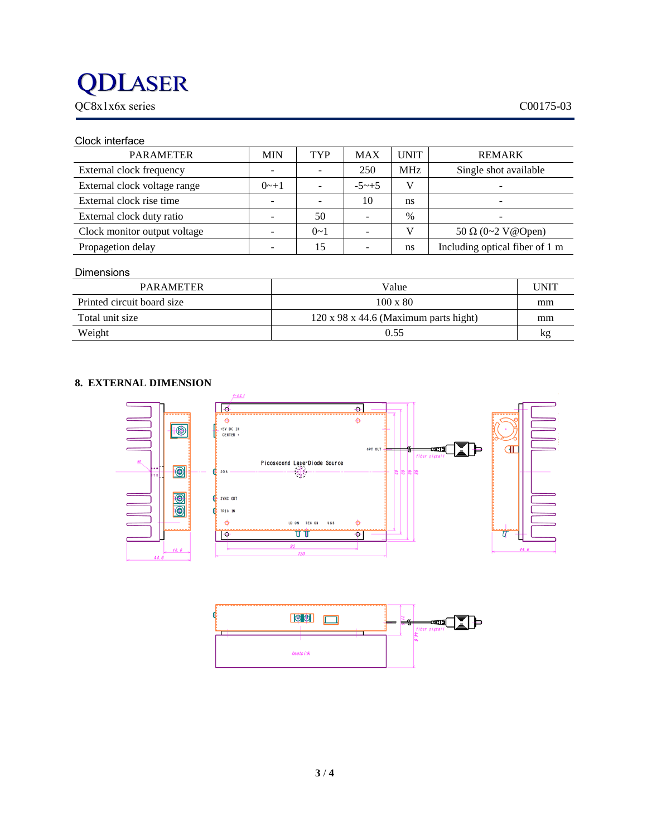## **QDLASER**

QC8x1x6x series C00175-03

| <b>MIN</b> | <b>TYP</b> | <b>MAX</b> | <b>UNIT</b> | <b>REMARK</b>                  |
|------------|------------|------------|-------------|--------------------------------|
|            |            | 250        | <b>MHz</b>  | Single shot available          |
| $0 - 1$    |            | $-5 - +5$  | V           |                                |
|            |            | 10         | ns          | $\overline{\phantom{0}}$       |
|            | 50         |            | $\%$        |                                |
|            | $0 - 1$    |            | V           | 50 $\Omega$ (0~2 V@Open)       |
|            | 15         |            | ns          | Including optical fiber of 1 m |
|            |            |            |             |                                |

#### Dimensions

| <b>PARAMETER</b>           | Value                                             | UNIT |
|----------------------------|---------------------------------------------------|------|
| Printed circuit board size | $100 \times 80$                                   | mm   |
| Total unit size            | $120 \times 98 \times 44.6$ (Maximum parts hight) | mm   |
| Weight                     | 0.55                                              | kg   |

### **8. EXTERNAL DIMENSION**